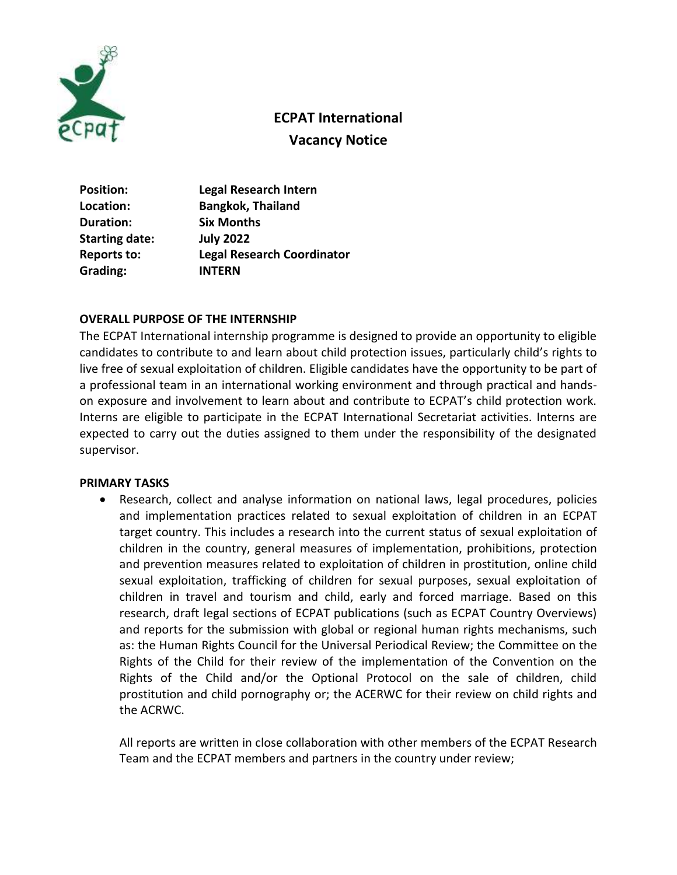

# **ECPAT International Vacancy Notice**

| <b>Position:</b>      | <b>Legal Research Intern</b>      |
|-----------------------|-----------------------------------|
| Location:             | <b>Bangkok, Thailand</b>          |
| Duration:             | <b>Six Months</b>                 |
| <b>Starting date:</b> | <b>July 2022</b>                  |
| <b>Reports to:</b>    | <b>Legal Research Coordinator</b> |
| Grading:              | <b>INTERN</b>                     |

## **OVERALL PURPOSE OF THE INTERNSHIP**

The ECPAT International internship programme is designed to provide an opportunity to eligible candidates to contribute to and learn about child protection issues, particularly child's rights to live free of sexual exploitation of children. Eligible candidates have the opportunity to be part of a professional team in an international working environment and through practical and handson exposure and involvement to learn about and contribute to ECPAT's child protection work. Interns are eligible to participate in the ECPAT International Secretariat activities. Interns are expected to carry out the duties assigned to them under the responsibility of the designated supervisor.

#### **PRIMARY TASKS**

 Research, collect and analyse information on national laws, legal procedures, policies and implementation practices related to sexual exploitation of children in an ECPAT target country. This includes a research into the current status of sexual exploitation of children in the country, general measures of implementation, prohibitions, protection and prevention measures related to exploitation of children in prostitution, online child sexual exploitation, trafficking of children for sexual purposes, sexual exploitation of children in travel and tourism and child, early and forced marriage. Based on this research, draft legal sections of ECPAT publications (such as ECPAT Country Overviews) and reports for the submission with global or regional human rights mechanisms, such as: the Human Rights Council for the Universal Periodical Review; the Committee on the Rights of the Child for their review of the implementation of the Convention on the Rights of the Child and/or the Optional Protocol on the sale of children, child prostitution and child pornography or; the ACERWC for their review on child rights and the ACRWC.

All reports are written in close collaboration with other members of the ECPAT Research Team and the ECPAT members and partners in the country under review;